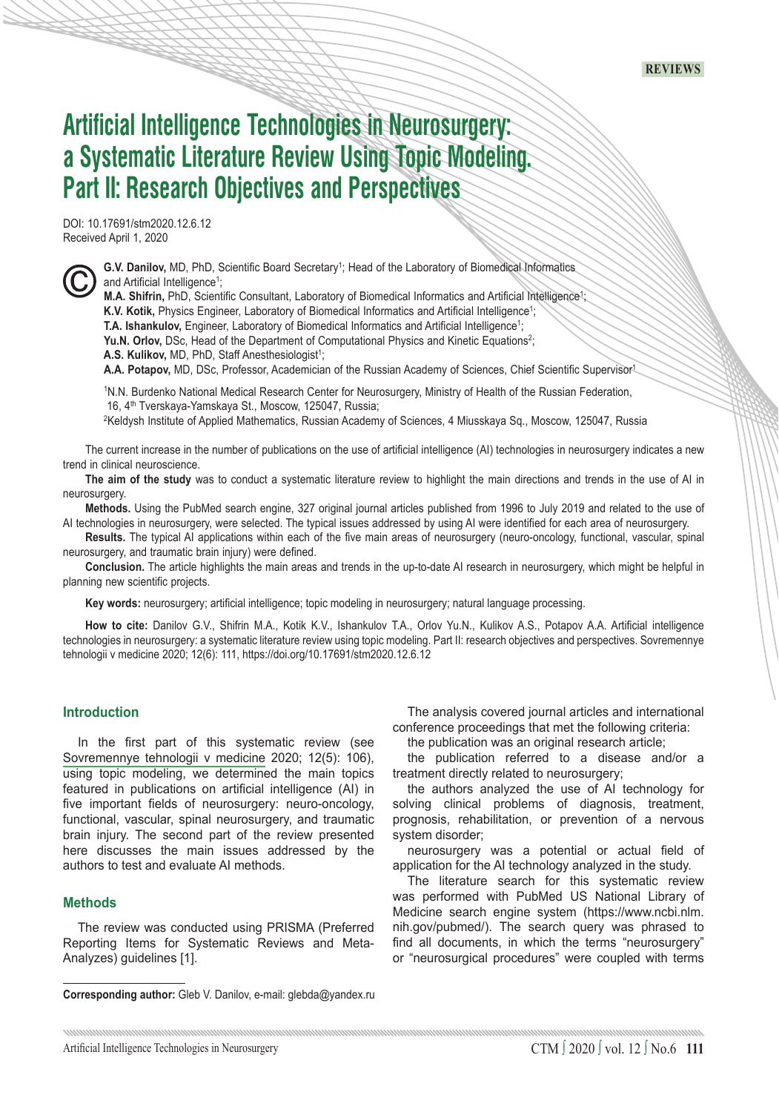# **Artificial Intelligence Technologies in Neurosurgery: a Systematic Literature Review Using Topic Modeling. Part II: Research Objectives and Perspectives**

DOI: 10.17691/stm2020.12.6.12 Received April 1, 2020



G.V. Danilov, MD, PhD, Scientific Board Secretary<sup>1</sup>; Head of the Laboratory of Biomedical Informatics and Artificial Intelligence<sup>1</sup>;

**M.A. Shifrin,** PhD, Scientific Consultant, Laboratory of Biomedical Informatics and Artificial Intelligence<sup>1</sup>;

K.V. Kotik, Physics Engineer, Laboratory of Biomedical Informatics and Artificial Intelligence<sup>1</sup>;

**T.A. Ishankulov,** Engineer, Laboratory of Biomedical Informatics and Artificial Intelligence<sup>1</sup>;

**Yu.N. Orlov,** DSc, Head of the Department of Computational Physics and Kinetic Equations<sup>2</sup>;

A.S. Kulikov, MD, PhD, Staff Anesthesiologist<sup>1</sup>;

**A.A. Potapov,** MD, DSc, Professor, Academician of the Russian Academy of Sciences, Chief Scientific Supervisor1

1N.N. Burdenko National Medical Research Center for Neurosurgery, Ministry of Health of the Russian Federation, 16, 4th Tverskaya-Yamskaya St., Moscow, 125047, Russia;

2Keldysh Institute of Applied Mathematics, Russian Academy of Sciences, 4 Miusskaya Sq., Moscow, 125047, Russia

The current increase in the number of publications on the use of artificial intelligence (AI) technologies in neurosurgery indicates a new trend in clinical neuroscience.

**The aim of the study** was to conduct a systematic literature review to highlight the main directions and trends in the use of AI in neurosurgery.

**Methods.** Using the PubMed search engine, 327 original journal articles published from 1996 to July 2019 and related to the use of AI technologies in neurosurgery, were selected. The typical issues addressed by using AI were identified for each area of neurosurgery.

**Results.** The typical AI applications within each of the five main areas of neurosurgery (neuro-oncology, functional, vascular, spinal neurosurgery, and traumatic brain injury) were defined.

**Conclusion.** The article highlights the main areas and trends in the up-to-date AI research in neurosurgery, which might be helpful in planning new scientific projects.

**Key words:** neurosurgery; artificial intelligence; topic modeling in neurosurgery; natural language processing.

**How to cite:** Danilov G.V., Shifrin M.A., Kotik K.V., Ishankulov T.A., Orlov Yu.N., Kulikov A.S., Potapov A.A. Artificial intelligence technologies in neurosurgery: a systematic literature review using topic modeling. Part II: research objectives and perspectives. Sovremennye tehnologii v medicine 2020; 12(6): 111, https://doi.org/10.17691/stm2020.12.6.12

# **Introduction**

In the first part of this systematic review (see [Sovremennye tehnologii v medicine](http://www.stm-journal.ru/en/numbers/2020/5/1674) 2020; 12(5): 106), using topic modeling, we determined the main topics featured in publications on artificial intelligence (AI) in five important fields of neurosurgery: neuro-oncology, functional, vascular, spinal neurosurgery, and traumatic brain injury. The second part of the review presented here discusses the main issues addressed by the authors to test and evaluate AI methods.

#### **Methods**

The review was conducted using PRISMA (Preferred Reporting Items for Systematic Reviews and Meta-Analyzes) guidelines [1].

**Corresponding author:** Gleb V. Danilov, e-mail: glebda@yandex.ru

The analysis covered journal articles and international conference proceedings that met the following criteria:

the publication was an original research article;

the publication referred to a disease and/or a treatment directly related to neurosurgery;

the authors analyzed the use of AI technology for solving clinical problems of diagnosis, treatment, prognosis, rehabilitation, or prevention of a nervous system disorder;

neurosurgery was a potential or actual field of application for the AI technology analyzed in the study.

The literature search for this systematic review was performed with PubMed US National Library of Medicine search engine system (https://www.ncbi.nlm. nih.gov/pubmed/). The search query was phrased to find all documents, in which the terms "neurosurgery" or "neurosurgical procedures" were coupled with terms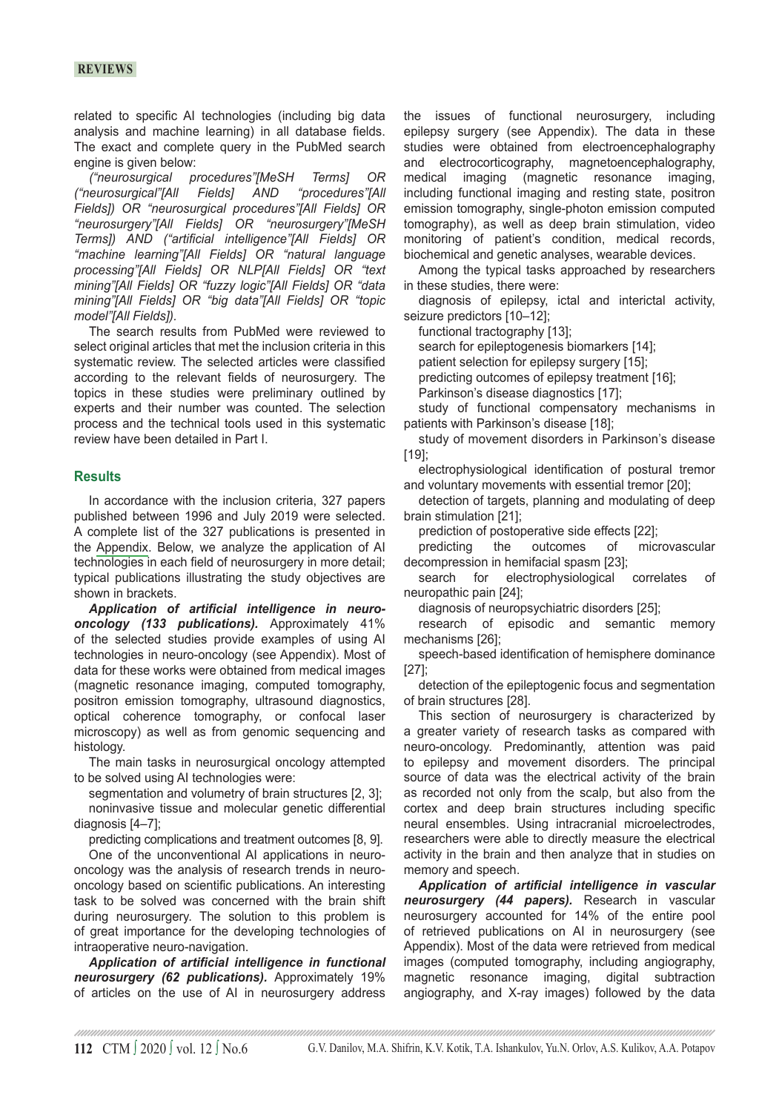# **reviews**

related to specific AI technologies (including big data analysis and machine learning) in all database fields. The exact and complete query in the PubMed search engine is given below:

*("neurosurgical procedures"[MeSH Terms] OR ("neurosurgical"[All Fields] AND Fields]) OR "neurosurgical procedures"[All Fields] OR "neurosurgery"[All Fields] OR "neurosurgery"[MeSH Terms]) AND ("artificial intelligence"[All Fields] OR "machine learning"[All Fields] OR "natural language processing"[All Fields] OR NLP[All Fields] OR "text mining"[All Fields] OR "fuzzy logic"[All Fields] OR "data mining"[All Fields] OR "big data"[All Fields] OR "topic model"[All Fields]).*

The search results from PubMed were reviewed to select original articles that met the inclusion criteria in this systematic review. The selected articles were classified according to the relevant fields of neurosurgery. The topics in these studies were preliminary outlined by experts and their number was counted. The selection process and the technical tools used in this systematic review have been detailed in Part I.

## **Results**

In accordance with the inclusion criteria, 327 papers published between 1996 and July 2019 were selected. A complete list of the 327 publications is presented in the [Appendix](https://drive.google.com/file/d/1gYSeznV3o9mncdzID54oA0s1CBNCIZYZ/view). Below, we analyze the application of AI technologies in each field of neurosurgery in more detail; typical publications illustrating the study objectives are shown in brackets.

*Application of artificial intelligence in neurooncology (133 publications).* Approximately 41% of the selected studies provide examples of using AI technologies in neuro-oncology (see Appendix). Most of data for these works were obtained from medical images (magnetic resonance imaging, computed tomography, positron emission tomography, ultrasound diagnostics, optical coherence tomography, or confocal laser microscopy) as well as from genomic sequencing and histology.

The main tasks in neurosurgical oncology attempted to be solved using AI technologies were:

segmentation and volumetry of brain structures [2, 3]; noninvasive tissue and molecular genetic differential diagnosis [4–7];

predicting complications and treatment outcomes [8, 9].

One of the unconventional AI applications in neurooncology was the analysis of research trends in neurooncology based on scientific publications. An interesting task to be solved was concerned with the brain shift during neurosurgery. The solution to this problem is of great importance for the developing technologies of intraoperative neuro-navigation.

*Application of artificial intelligence in functional neurosurgery (62 publications).* Approximately 19% of articles on the use of AI in neurosurgery address the issues of functional neurosurgery, including epilepsy surgery (see Appendix). The data in these studies were obtained from electroencephalography and electrocorticography, magnetoencephalography, medical imaging (magnetic resonance imaging, including functional imaging and resting state, positron emission tomography, single-photon emission computed tomography), as well as deep brain stimulation, video monitoring of patient's condition, medical records, biochemical and genetic analyses, wearable devices.

Among the typical tasks approached by researchers in these studies, there were:

diagnosis of epilepsy, ictal and interictal activity, seizure predictors [10-12];

functional tractography [13];

search for epileptogenesis biomarkers [14];

patient selection for epilepsy surgery [15];

predicting outcomes of epilepsy treatment [16];

Parkinson's disease diagnostics [17];

study of functional compensatory mechanisms in patients with Parkinson's disease [18];

study of movement disorders in Parkinson's disease [19];

electrophysiological identification of postural tremor and voluntary movements with essential tremor [20];

detection of targets, planning and modulating of deep brain stimulation [21];

prediction of postoperative side effects [22];

predicting the outcomes of microvascular decompression in hemifacial spasm [23];

search for electrophysiological correlates of neuropathic pain [24];

diagnosis of neuropsychiatric disorders [25];

research of episodic and semantic memory mechanisms [26];

speech-based identification of hemisphere dominance [27];

detection of the epileptogenic focus and segmentation of brain structures [28].

This section of neurosurgery is characterized by a greater variety of research tasks as compared with neuro-oncology. Predominantly, attention was paid to epilepsy and movement disorders. The principal source of data was the electrical activity of the brain as recorded not only from the scalp, but also from the cortex and deep brain structures including specific neural ensembles. Using intracranial microelectrodes, researchers were able to directly measure the electrical activity in the brain and then analyze that in studies on memory and speech.

*Application of artificial intelligence in vascular neurosurgery (44 papers).* Research in vascular neurosurgery accounted for 14% of the entire pool of retrieved publications on AI in neurosurgery (see Appendix). Most of the data were retrieved from medical images (computed tomography, including angiography, magnetic resonance imaging, digital subtraction angiography, and X-ray images) followed by the data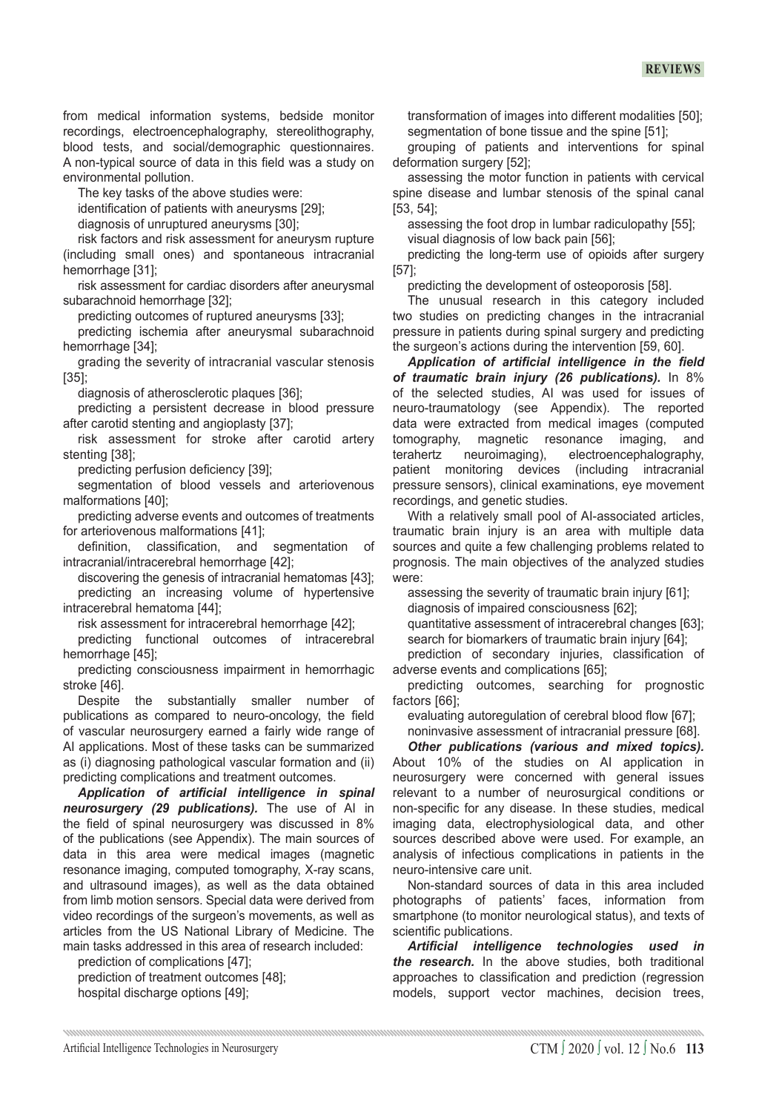from medical information systems, bedside monitor recordings, electroencephalography, stereolithography, blood tests, and social/demographic questionnaires. A non-typical source of data in this field was a study on environmental pollution.

The key tasks of the above studies were:

identification of patients with aneurysms [29];

diagnosis of unruptured aneurysms [30];

risk factors and risk assessment for aneurysm rupture (including small ones) and spontaneous intracranial hemorrhage [31];

risk assessment for cardiac disorders after aneurysmal subarachnoid hemorrhage [32];

predicting outcomes of ruptured aneurysms [33];

predicting ischemia after aneurysmal subarachnoid hemorrhage [34];

grading the severity of intracranial vascular stenosis [35];

diagnosis of atherosclerotic plaques [36];

predicting a persistent decrease in blood pressure after carotid stenting and angioplasty [37];

risk assessment for stroke after carotid artery stenting [38];

predicting perfusion deficiency [39];

segmentation of blood vessels and arteriovenous malformations [40];

predicting adverse events and outcomes of treatments for arteriovenous malformations [41];

definition, classification, and segmentation of intracranial/intracerebral hemorrhage [42];

discovering the genesis of intracranial hematomas [43]; predicting an increasing volume of hypertensive intracerebral hematoma [44];

risk assessment for intracerebral hemorrhage [42];

predicting functional outcomes of intracerebral hemorrhage [45];

predicting consciousness impairment in hemorrhagic stroke [46].

Despite the substantially smaller number of publications as compared to neuro-oncology, the field of vascular neurosurgery earned a fairly wide range of AI applications. Most of these tasks can be summarized as (i) diagnosing pathological vascular formation and (ii) predicting complications and treatment outcomes.

*Application of artificial intelligence in spinal neurosurgery (29 publications).* The use of AI in the field of spinal neurosurgery was discussed in 8% of the publications (see Appendix). The main sources of data in this area were medical images (magnetic resonance imaging, computed tomography, X-ray scans, and ultrasound images), as well as the data obtained from limb motion sensors. Special data were derived from video recordings of the surgeon's movements, as well as articles from the US National Library of Medicine. The main tasks addressed in this area of research included:

prediction of complications [47]; prediction of treatment outcomes [48]; hospital discharge options [49];

transformation of images into different modalities [50]; segmentation of bone tissue and the spine [51];

grouping of patients and interventions for spinal deformation surgery [52];

assessing the motor function in patients with cervical spine disease and lumbar stenosis of the spinal canal [53, 54];

assessing the foot drop in lumbar radiculopathy [55]; visual diagnosis of low back pain [56];

predicting the long-term use of opioids after surgery [57];

predicting the development of osteoporosis [58].

The unusual research in this category included two studies on predicting changes in the intracranial pressure in patients during spinal surgery and predicting the surgeon's actions during the intervention [59, 60].

*Application of artificial intelligence in the field of traumatic brain injury (26 publications).* In 8% of the selected studies, AI was used for issues of neuro-traumatology (see Appendix). The reported data were extracted from medical images (computed tomography, magnetic resonance imaging, and magnetic resonance imaging, and terahertz neuroimaging), electroencephalography, patient monitoring devices (including intracranial pressure sensors), clinical examinations, eye movement recordings, and genetic studies.

With a relatively small pool of AI-associated articles, traumatic brain injury is an area with multiple data sources and quite a few challenging problems related to prognosis. The main objectives of the analyzed studies were:

assessing the severity of traumatic brain injury [61]; diagnosis of impaired consciousness [62];

quantitative assessment of intracerebral changes [63]; search for biomarkers of traumatic brain injury [64];

prediction of secondary injuries, classification of adverse events and complications [65];

predicting outcomes, searching for prognostic factors [66];

evaluating autoregulation of cerebral blood flow [67]; noninvasive assessment of intracranial pressure [68].

*Other publications (various and mixed topics).*  About 10% of the studies on AI application in neurosurgery were concerned with general issues relevant to a number of neurosurgical conditions or non-specific for any disease. In these studies, medical imaging data, electrophysiological data, and other sources described above were used. For example, an analysis of infectious complications in patients in the neuro-intensive care unit.

Non-standard sources of data in this area included photographs of patients' faces, information from smartphone (to monitor neurological status), and texts of scientific publications.

*Artificial intelligence technologies used in the research.* In the above studies, both traditional approaches to classification and prediction (regression models, support vector machines, decision trees,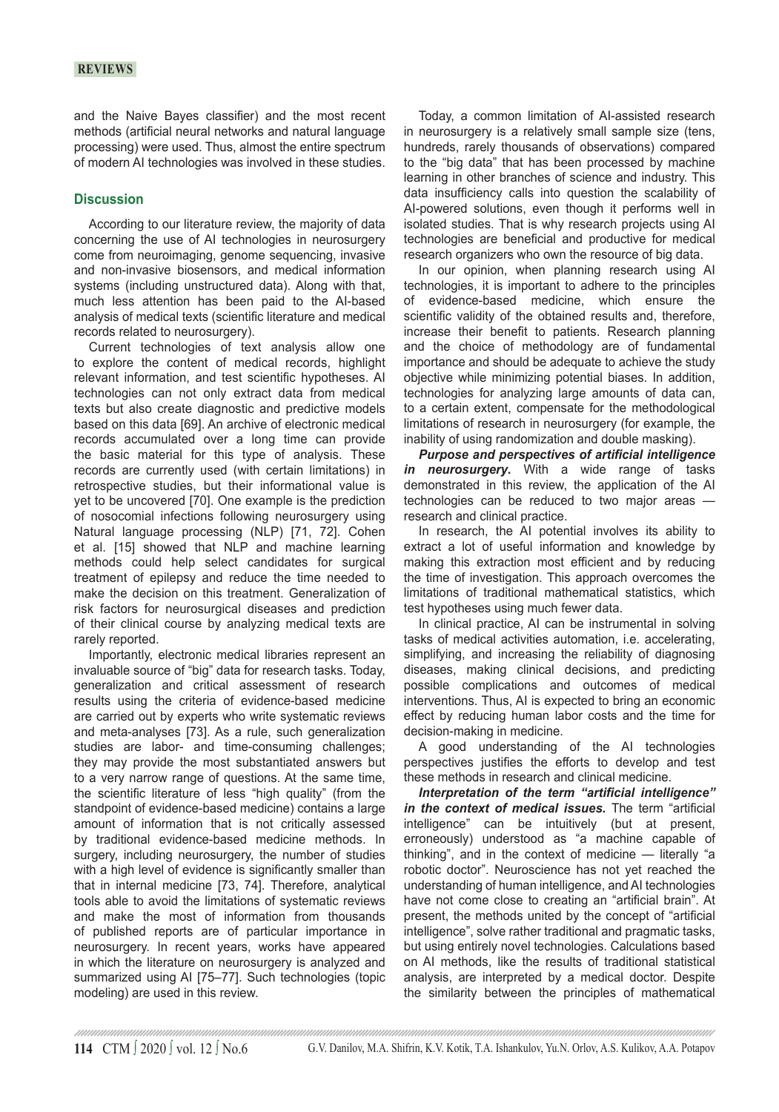and the Naive Bayes classifier) and the most recent methods (artificial neural networks and natural language processing) were used. Thus, almost the entire spectrum of modern AI technologies was involved in these studies.

# **Discussion**

According to our literature review, the majority of data concerning the use of AI technologies in neurosurgery come from neuroimaging, genome sequencing, invasive and non-invasive biosensors, and medical information systems (including unstructured data). Along with that, much less attention has been paid to the AI-based analysis of medical texts (scientific literature and medical records related to neurosurgery).

Current technologies of text analysis allow one to explore the content of medical records, highlight relevant information, and test scientific hypotheses. AI technologies can not only extract data from medical texts but also create diagnostic and predictive models based on this data [69]. An archive of electronic medical records accumulated over a long time can provide the basic material for this type of analysis. These records are currently used (with certain limitations) in retrospective studies, but their informational value is yet to be uncovered [70]. One example is the prediction of nosocomial infections following neurosurgery using Natural language processing (NLP) [71, 72]. Cohen et al. [15] showed that NLP and machine learning methods could help select candidates for surgical treatment of epilepsy and reduce the time needed to make the decision on this treatment. Generalization of risk factors for neurosurgical diseases and prediction of their clinical course by analyzing medical texts are rarely reported.

Importantly, electronic medical libraries represent an invaluable source of "big" data for research tasks. Today, generalization and critical assessment of research results using the criteria of evidence-based medicine are carried out by experts who write systematic reviews and meta-analyses [73]. As a rule, such generalization studies are labor- and time-consuming challenges; they may provide the most substantiated answers but to a very narrow range of questions. At the same time, the scientific literature of less "high quality" (from the standpoint of evidence-based medicine) contains a large amount of information that is not critically assessed by traditional evidence-based medicine methods. In surgery, including neurosurgery, the number of studies with a high level of evidence is significantly smaller than that in internal medicine [73, 74]. Therefore, analytical tools able to avoid the limitations of systematic reviews and make the most of information from thousands of published reports are of particular importance in neurosurgery. In recent years, works have appeared in which the literature on neurosurgery is analyzed and summarized using AI [75–77]. Such technologies (topic modeling) are used in this review.

Today, a common limitation of AI-assisted research in neurosurgery is a relatively small sample size (tens, hundreds, rarely thousands of observations) compared to the "big data" that has been processed by machine learning in other branches of science and industry. This data insufficiency calls into question the scalability of AI-powered solutions, even though it performs well in isolated studies. That is why research projects using AI technologies are beneficial and productive for medical research organizers who own the resource of big data.

In our opinion, when planning research using AI technologies, it is important to adhere to the principles of evidence-based medicine, which ensure the scientific validity of the obtained results and, therefore, increase their benefit to patients. Research planning and the choice of methodology are of fundamental importance and should be adequate to achieve the study objective while minimizing potential biases. In addition, technologies for analyzing large amounts of data can, to a certain extent, compensate for the methodological limitations of research in neurosurgery (for example, the inability of using randomization and double masking).

*Purpose and perspectives of artificial intelligence in neurosurgery***.** With a wide range of tasks demonstrated in this review, the application of the AI technologies can be reduced to two major areas research and clinical practice.

In research, the AI potential involves its ability to extract a lot of useful information and knowledge by making this extraction most efficient and by reducing the time of investigation. This approach overcomes the limitations of traditional mathematical statistics, which test hypotheses using much fewer data.

In clinical practice, AI can be instrumental in solving tasks of medical activities automation, i.e. accelerating, simplifying, and increasing the reliability of diagnosing diseases, making clinical decisions, and predicting possible complications and outcomes of medical interventions. Thus, AI is expected to bring an economic effect by reducing human labor costs and the time for decision-making in medicine.

A good understanding of the AI technologies perspectives justifies the efforts to develop and test these methods in research and clinical medicine.

*Interpretation of the term "artificial intelligence" in the context of medical issues.* The term "artificial intelligence" can be intuitively (but at present, erroneously) understood as "a machine capable of thinking", and in the context of medicine — literally "a robotic doctor". Neuroscience has not yet reached the understanding of human intelligence, and AI technologies have not come close to creating an "artificial brain". At present, the methods united by the concept of "artificial intelligence", solve rather traditional and pragmatic tasks, but using entirely novel technologies. Calculations based on AI methods, like the results of traditional statistical analysis, are interpreted by a medical doctor. Despite the similarity between the principles of mathematical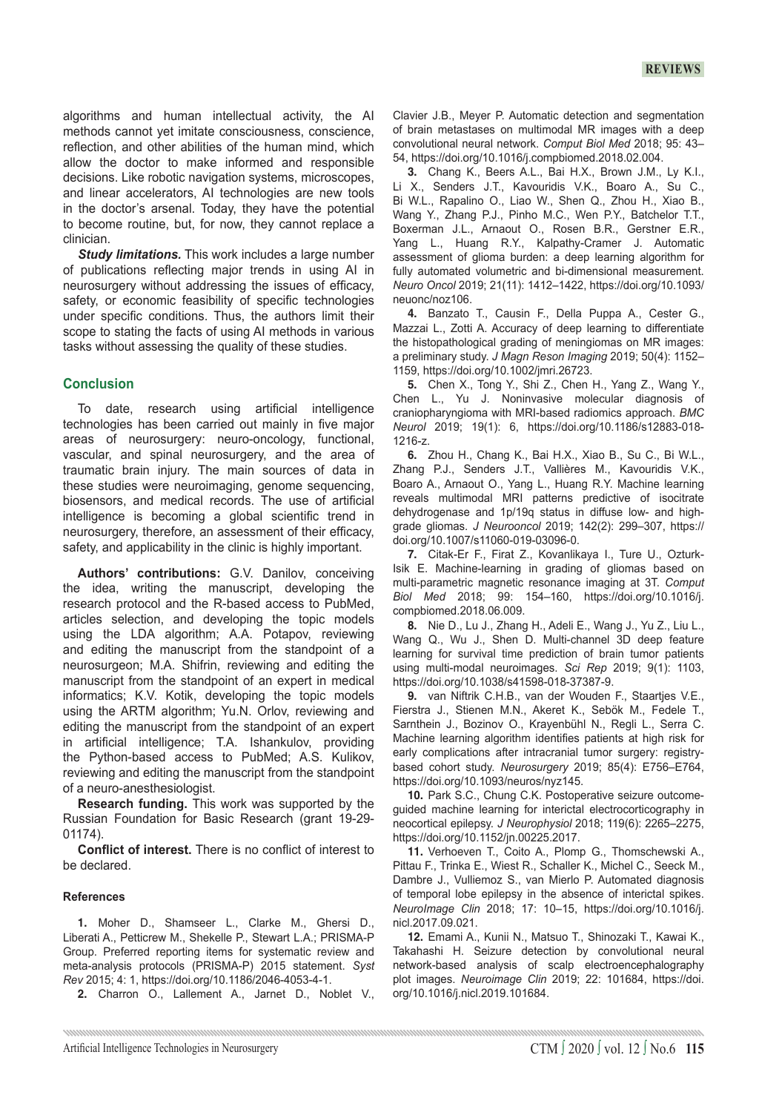algorithms and human intellectual activity, the AI methods cannot yet imitate consciousness, conscience, reflection, and other abilities of the human mind, which allow the doctor to make informed and responsible decisions. Like robotic navigation systems, microscopes, and linear accelerators, AI technologies are new tools in the doctor's arsenal. Today, they have the potential to become routine, but, for now, they cannot replace a clinician.

*Study limitations.* This work includes a large number of publications reflecting major trends in using AI in neurosurgery without addressing the issues of efficacy, safety, or economic feasibility of specific technologies under specific conditions. Thus, the authors limit their scope to stating the facts of using AI methods in various tasks without assessing the quality of these studies.

# **Conclusion**

To date, research using artificial intelligence technologies has been carried out mainly in five major areas of neurosurgery: neuro-oncology, functional, vascular, and spinal neurosurgery, and the area of traumatic brain injury. The main sources of data in these studies were neuroimaging, genome sequencing, biosensors, and medical records. The use of artificial intelligence is becoming a global scientific trend in neurosurgery, therefore, an assessment of their efficacy, safety, and applicability in the clinic is highly important.

**Authors' contributions:** G.V. Danilov, conceiving the idea, writing the manuscript, developing the research protocol and the R-based access to PubMed, articles selection, and developing the topic models using the LDA algorithm; A.A. Potapov, reviewing and editing the manuscript from the standpoint of a neurosurgeon; M.A. Shifrin, reviewing and editing the manuscript from the standpoint of an expert in medical informatics; K.V. Kotik, developing the topic models using the ARTM algorithm; Yu.N. Orlov, reviewing and editing the manuscript from the standpoint of an expert in artificial intelligence; T.A. Ishankulov, providing the Python-based access to PubMed; A.S. Kulikov, reviewing and editing the manuscript from the standpoint of a neuro-anesthesiologist.

**Research funding.** This work was supported by the Russian Foundation for Basic Research (grant 19-29- 01174).

**Conflict of interest.** There is no conflict of interest to be declared.

#### **References**

**1.**  Moher D., Shamseer L., Clarke M., Ghersi D., Liberati A., Petticrew M., Shekelle P., Stewart L.A.; PRISMA-P Group. Preferred reporting items for systematic review and meta-analysis protocols (PRISMA-P) 2015 statement. *Syst Rev* 2015; 4: 1, https://doi.org/10.1186/2046-4053-4-1.

**2.**  Charron O., Lallement A., Jarnet D., Noblet V.,

Clavier J.B., Meyer P. Automatic detection and segmentation of brain metastases on multimodal MR images with a deep convolutional neural network. *Comput Biol Med* 2018; 95: 43– 54, https://doi.org/10.1016/j.compbiomed.2018.02.004.

**3.**  Chang K., Beers A.L., Bai H.X., Brown J.M., Ly K.I., Li X., Senders J.T., Kavouridis V.K., Boaro A., Su C., Bi W.L., Rapalino O., Liao W., Shen Q., Zhou H., Xiao B., Wang Y., Zhang P.J., Pinho M.C., Wen P.Y., Batchelor T.T., Boxerman J.L., Arnaout O., Rosen B.R., Gerstner E.R., Yang L., Huang R.Y., Kalpathy-Cramer J. Automatic assessment of glioma burden: a deep learning algorithm for fully automated volumetric and bi-dimensional measurement. *Neuro Oncol* 2019; 21(11): 1412–1422, https://doi.org/10.1093/ neuonc/noz106.

**4.**  Banzato T., Causin F., Della Puppa A., Cester G., Mazzai L., Zotti A. Accuracy of deep learning to differentiate the histopathological grading of meningiomas on MR images: a preliminary study. *J Magn Reson Imaging* 2019; 50(4): 1152– 1159, https://doi.org/10.1002/jmri.26723.

**5.**  Chen X., Tong Y., Shi Z., Chen H., Yang Z., Wang Y., Chen L., Yu J. Noninvasive molecular diagnosis of craniopharyngioma with MRI-based radiomics approach. *BMC Neurol* 2019; 19(1): 6, https://doi.org/10.1186/s12883-018- 1216-z.

**6.**  Zhou H., Chang K., Bai H.X., Xiao B., Su C., Bi W.L., Zhang P.J., Senders J.T., Vallières M., Kavouridis V.K., Boaro A., Arnaout O., Yang L., Huang R.Y. Machine learning reveals multimodal MRI patterns predictive of isocitrate dehydrogenase and 1p/19q status in diffuse low- and highgrade gliomas. *J Neurooncol* 2019; 142(2): 299–307, https:// doi.org/10.1007/s11060-019-03096-0.

**7.**  Citak-Er F., Firat Z., Kovanlikaya I., Ture U., Ozturk-Isik E. Machine-learning in grading of gliomas based on multi-parametric magnetic resonance imaging at 3T. *Comput Biol Med* 2018; 99: 154–160, https://doi.org/10.1016/j. compbiomed.2018.06.009.

**8.**  Nie D., Lu J., Zhang H., Adeli E., Wang J., Yu Z., Liu L., Wang Q., Wu J., Shen D. Multi-channel 3D deep feature learning for survival time prediction of brain tumor patients using multi-modal neuroimages. *Sci Rep* 2019; 9(1): 1103, https://doi.org/10.1038/s41598-018-37387-9.

**9.**  van Niftrik C.H.B., van der Wouden F., Staartjes V.E., Fierstra J., Stienen M.N., Akeret K., Sebök M., Fedele T., Sarnthein J., Bozinov O., Krayenbühl N., Regli L., Serra C. Machine learning algorithm identifies patients at high risk for early complications after intracranial tumor surgery: registrybased cohort study. *Neurosurgery* 2019; 85(4): E756–E764, https://doi.org/10.1093/neuros/nyz145.

**10.** Park S.C., Chung C.K. Postoperative seizure outcomeguided machine learning for interictal electrocorticography in neocortical epilepsy. *J Neurophysiol* 2018; 119(6): 2265–2275, https://doi.org/10.1152/jn.00225.2017.

**11.** Verhoeven T., Coito A., Plomp G., Thomschewski A., Pittau F., Trinka E., Wiest R., Schaller K., Michel C., Seeck M., Dambre J., Vulliemoz S., van Mierlo P. Automated diagnosis of temporal lobe epilepsy in the absence of interictal spikes. *NeuroImage Clin* 2018; 17: 10–15, https://doi.org/10.1016/j. nicl.2017.09.021.

**12.** Emami A., Kunii N., Matsuo T., Shinozaki T., Kawai K., Takahashi H. Seizure detection by convolutional neural network-based analysis of scalp electroencephalography plot images. *Neuroimage Clin* 2019; 22: 101684, https://doi. org/10.1016/j.nicl.2019.101684.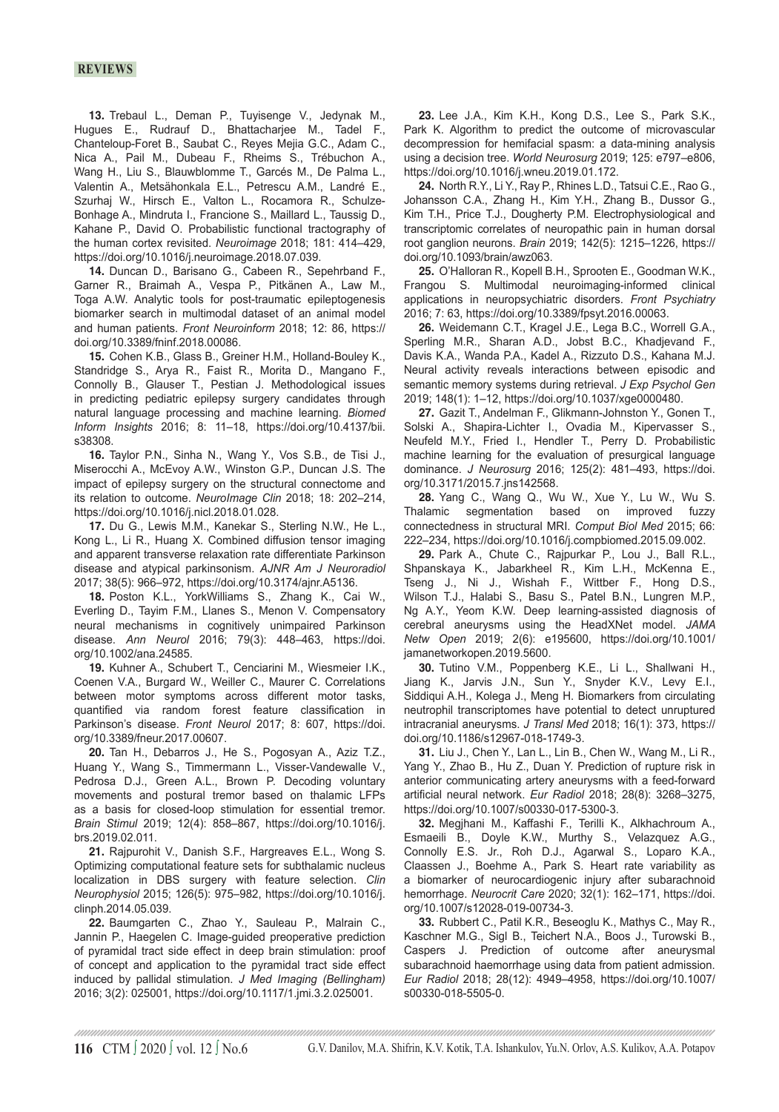### **reviews**

**13.** Trebaul L., Deman P., Tuyisenge V., Jedynak M., Hugues E., Rudrauf D., Bhattacharjee M., Tadel F., Chanteloup-Foret B., Saubat C., Reyes Mejia G.C., Adam C., Nica A., Pail M., Dubeau F., Rheims S., Trébuchon A., Wang H., Liu S., Blauwblomme T., Garcés M., De Palma L., Valentin A., Metsähonkala E.L., Petrescu A.M., Landré E., Szurhaj W., Hirsch E., Valton L., Rocamora R., Schulze-Bonhage A., Mindruta I., Francione S., Maillard L., Taussig D., Kahane P., David O. Probabilistic functional tractography of the human cortex revisited. *Neuroimage* 2018; 181: 414–429, https://doi.org/10.1016/j.neuroimage.2018.07.039.

14. Duncan D., Barisano G., Cabeen R., Sepehrband F., Garner R., Braimah A., Vespa P., Pitkänen A., Law M., Toga A.W. Analytic tools for post-traumatic epileptogenesis biomarker search in multimodal dataset of an animal model and human patients. *Front Neuroinform* 2018; 12: 86, https:// doi.org/10.3389/fninf.2018.00086.

**15.**  Cohen K.B., Glass B., Greiner H.M., Holland-Bouley K., Standridge S., Arya R., Faist R., Morita D., Mangano F., Connolly B., Glauser T., Pestian J. Methodological issues in predicting pediatric epilepsy surgery candidates through natural language processing and machine learning. *Biomed Inform Insights* 2016; 8: 11–18, https://doi.org/10.4137/bii. s38308.

**16.** Taylor P.N., Sinha N., Wang Y., Vos S.B., de Tisi J., Miserocchi A., McEvoy A.W., Winston G.P., Duncan J.S. The impact of epilepsy surgery on the structural connectome and its relation to outcome. *NeuroImage Clin* 2018; 18: 202–214, https://doi.org/10.1016/j.nicl.2018.01.028.

17. Du G., Lewis M.M., Kanekar S., Sterling N.W., He L., Kong L., Li R., Huang X. Combined diffusion tensor imaging and apparent transverse relaxation rate differentiate Parkinson disease and atypical parkinsonism. *AJNR Am J Neuroradiol* 2017; 38(5): 966–972, https://doi.org/10.3174/ajnr.A5136.

**18.** Poston K.L., YorkWilliams S., Zhang K., Cai W., Everling D., Tayim F.M., Llanes S., Menon V. Compensatory neural mechanisms in cognitively unimpaired Parkinson disease. *Ann Neurol* 2016; 79(3): 448–463, https://doi. org/10.1002/ana.24585.

19. Kuhner A., Schubert T., Cenciarini M., Wiesmeier I.K., Coenen V.A., Burgard W., Weiller C., Maurer C. Correlations between motor symptoms across different motor tasks, quantified via random forest feature classification in Parkinson's disease. *Front Neurol* 2017; 8: 607, https://doi. org/10.3389/fneur.2017.00607.

20. Tan H., Debarros J., He S., Pogosyan A., Aziz T.Z., Huang Y., Wang S., Timmermann L., Visser-Vandewalle V., Pedrosa D.J., Green A.L., Brown P. Decoding voluntary movements and postural tremor based on thalamic LFPs as a basis for closed-loop stimulation for essential tremor. *Brain Stimul* 2019; 12(4): 858–867, https://doi.org/10.1016/j. brs.2019.02.011.

21. Rajpurohit V., Danish S.F., Hargreaves E.L., Wong S. Optimizing computational feature sets for subthalamic nucleus localization in DBS surgery with feature selection. *Clin Neurophysiol* 2015; 126(5): 975–982, https://doi.org/10.1016/j. clinph.2014.05.039.

22. Baumgarten C., Zhao Y., Sauleau P., Malrain C., Jannin P., Haegelen C. Image-guided preoperative prediction of pyramidal tract side effect in deep brain stimulation: proof of concept and application to the pyramidal tract side effect induced by pallidal stimulation. *J Med Imaging (Bellingham)* 2016; 3(2): 025001, https://doi.org/10.1117/1.jmi.3.2.025001.

**23.**  Lee J.A., Kim K.H., Kong D.S., Lee S., Park S.K., Park K. Algorithm to predict the outcome of microvascular decompression for hemifacial spasm: a data-mining analysis using a decision tree. *World Neurosurg* 2019; 125: e797–e806, https://doi.org/10.1016/j.wneu.2019.01.172.

**24.**  North R.Y., Li Y., Ray P., Rhines L.D., Tatsui C.E., Rao G., Johansson C.A., Zhang H., Kim Y.H., Zhang B., Dussor G., Kim T.H., Price T.J., Dougherty P.M. Electrophysiological and transcriptomic correlates of neuropathic pain in human dorsal root ganglion neurons. *Brain* 2019; 142(5): 1215–1226, https:// doi.org/10.1093/brain/awz063.

**25.** O'Halloran R., Kopell B.H., Sprooten E., Goodman W.K., Frangou S. Multimodal neuroimaging-informed clinical applications in neuropsychiatric disorders. *Front Psychiatry* 2016; 7: 63, https://doi.org/10.3389/fpsyt.2016.00063.

**26.** Weidemann C.T., Kragel J.E., Lega B.C., Worrell G.A., Sperling M.R., Sharan A.D., Jobst B.C., Khadjevand F., Davis K.A., Wanda P.A., Kadel A., Rizzuto D.S., Kahana M.J. Neural activity reveals interactions between episodic and semantic memory systems during retrieval. *J Exp Psychol Gen* 2019; 148(1): 1–12, https://doi.org/10.1037/xge0000480.

27. Gazit T., Andelman F., Glikmann-Johnston Y., Gonen T., Solski A., Shapira-Lichter I., Ovadia M., Kipervasser S., Neufeld M.Y., Fried I., Hendler T., Perry D. Probabilistic machine learning for the evaluation of presurgical language dominance. *J Neurosurg* 2016; 125(2): 481–493, https://doi. org/10.3171/2015.7.jns142568.

**28.** Yang C., Wang Q., Wu W., Xue Y., Lu W., Wu S. Thalamic segmentation based on improved fuzzy connectedness in structural MRI. *Comput Biol Med* 2015; 66: 222–234, https://doi.org/10.1016/j.compbiomed.2015.09.002.

29. Park A., Chute C., Rajpurkar P., Lou J., Ball R.L., Shpanskaya K., Jabarkheel R., Kim L.H., McKenna E., Tseng J., Ni J., Wishah F., Wittber F., Hong D.S., Wilson T.J., Halabi S., Basu S., Patel B.N., Lungren M.P., Ng A.Y., Yeom K.W. Deep learning-assisted diagnosis of cerebral aneurysms using the HeadXNet model. *JAMA Netw Open* 2019; 2(6): e195600, https://doi.org/10.1001/ jamanetworkopen.2019.5600.

**30.** Tutino V.M., Poppenberg K.E., Li L., Shallwani H., Jiang K., Jarvis J.N., Sun Y., Snyder K.V., Levy E.I., Siddiqui A.H., Kolega J., Meng H. Biomarkers from circulating neutrophil transcriptomes have potential to detect unruptured intracranial aneurysms. *J Transl Med* 2018; 16(1): 373, https:// doi.org/10.1186/s12967-018-1749-3.

**31.** Liu J., Chen Y., Lan L., Lin B., Chen W., Wang M., Li R., Yang Y., Zhao B., Hu Z., Duan Y. Prediction of rupture risk in anterior communicating artery aneurysms with a feed-forward artificial neural network. *Eur Radiol* 2018; 28(8): 3268–3275, https://doi.org/10.1007/s00330-017-5300-3.

**32.**  Megjhani M., Kaffashi F., Terilli K., Alkhachroum A., Esmaeili B., Doyle K.W., Murthy S., Velazquez A.G., Connolly E.S. Jr., Roh D.J., Agarwal S., Loparo K.A., Claassen J., Boehme A., Park S. Heart rate variability as a biomarker of neurocardiogenic injury after subarachnoid hemorrhage. *Neurocrit Care* 2020; 32(1): 162–171, https://doi. org/10.1007/s12028-019-00734-3.

33. Rubbert C., Patil K.R., Beseoglu K., Mathys C., May R., Kaschner M.G., Sigl B., Teichert N.A., Boos J., Turowski B., Caspers J. Prediction of outcome after aneurysmal subarachnoid haemorrhage using data from patient admission. *Eur Radiol* 2018; 28(12): 4949–4958, https://doi.org/10.1007/ s00330-018-5505-0.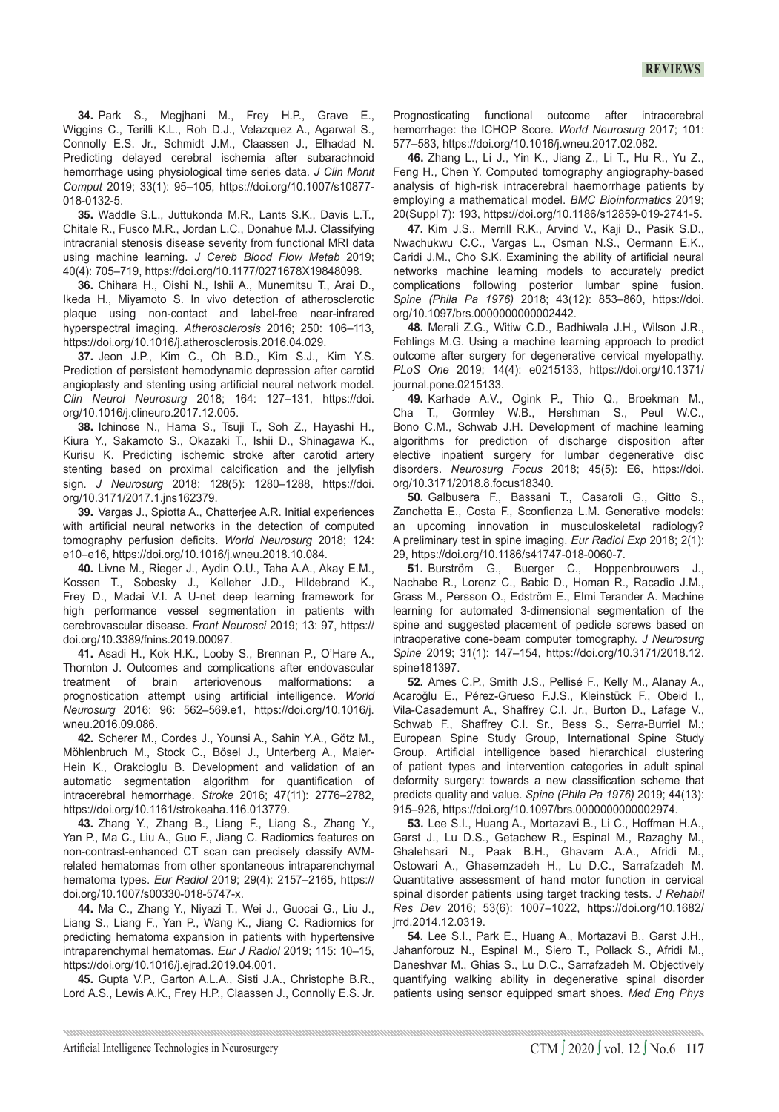34. Park S., Megjhani M., Frey H.P., Grave E., Wiggins C., Terilli K.L., Roh D.J., Velazquez A., Agarwal S., Connolly E.S. Jr., Schmidt J.M., Claassen J., Elhadad N. Predicting delayed cerebral ischemia after subarachnoid hemorrhage using physiological time series data. *J Clin Monit Comput* 2019; 33(1): 95–105, https://doi.org/10.1007/s10877- 018-0132-5.

**35.** Waddle S.L., Juttukonda M.R., Lants S.K., Davis L.T., Chitale R., Fusco M.R., Jordan L.C., Donahue M.J. Classifying intracranial stenosis disease severity from functional MRI data using machine learning. *J Cereb Blood Flow Metab* 2019; 40(4): 705–719, https://doi.org/10.1177/0271678X19848098.

**36.**  Chihara H., Oishi N., Ishii A., Munemitsu T., Arai D., Ikeda H., Miyamoto S. In vivo detection of atherosclerotic plaque using non-contact and label-free near-infrared hyperspectral imaging. *Atherosclerosis* 2016; 250: 106–113, https://doi.org/10.1016/j.atherosclerosis.2016.04.029.

**37.**  Jeon J.P., Kim C., Oh B.D., Kim S.J., Kim Y.S. Prediction of persistent hemodynamic depression after carotid angioplasty and stenting using artificial neural network model. *Clin Neurol Neurosurg* 2018; 164: 127–131, https://doi. org/10.1016/j.clineuro.2017.12.005.

**38.**  Ichinose N., Hama S., Tsuji T., Soh Z., Hayashi H., Kiura Y., Sakamoto S., Okazaki T., Ishii D., Shinagawa K., Kurisu K. Predicting ischemic stroke after carotid artery stenting based on proximal calcification and the jellyfish sign. *J Neurosurg* 2018; 128(5): 1280–1288, https://doi. org/10.3171/2017.1.jns162379.

**39.** Vargas J., Spiotta A., Chatterjee A.R. Initial experiences with artificial neural networks in the detection of computed tomography perfusion deficits. *World Neurosurg* 2018; 124: e10–e16, https://doi.org/10.1016/j.wneu.2018.10.084.

**40.**  Livne M., Rieger J., Aydin O.U., Taha A.A., Akay E.M., Kossen T., Sobesky J., Kelleher J.D., Hildebrand K., Frey D., Madai V.I. A U-net deep learning framework for high performance vessel segmentation in patients with cerebrovascular disease. *Front Neurosci* 2019; 13: 97, https:// doi.org/10.3389/fnins.2019.00097.

**41.** Asadi H., Kok H.K., Looby S., Brennan P., O'Hare A., Thornton J. Outcomes and complications after endovascular treatment of brain arteriovenous malformations: a prognostication attempt using artificial intelligence. *World Neurosurg* 2016; 96: 562–569.e1, https://doi.org/10.1016/j. wneu.2016.09.086.

**42.** Scherer M., Cordes J., Younsi A., Sahin Y.A., Götz M., Möhlenbruch M., Stock C., Bösel J., Unterberg A., Maier-Hein K., Orakcioglu B. Development and validation of an automatic segmentation algorithm for quantification of intracerebral hemorrhage. *Stroke* 2016; 47(11): 2776–2782, https://doi.org/10.1161/strokeaha.116.013779.

**43.** Zhang Y., Zhang B., Liang F., Liang S., Zhang Y., Yan P., Ma C., Liu A., Guo F., Jiang C. Radiomics features on non-contrast-enhanced CT scan can precisely classify AVMrelated hematomas from other spontaneous intraparenchymal hematoma types. *Eur Radiol* 2019; 29(4): 2157–2165, https:// doi.org/10.1007/s00330-018-5747-x.

**44.**  Ma C., Zhang Y., Niyazi T., Wei J., Guocai G., Liu J., Liang S., Liang F., Yan P., Wang K., Jiang C. Radiomics for predicting hematoma expansion in patients with hypertensive intraparenchymal hematomas. *Eur J Radiol* 2019; 115: 10–15, https://doi.org/10.1016/j.ejrad.2019.04.001.

**45.** Gupta V.P., Garton A.L.A., Sisti J.A., Christophe B.R., Lord A.S., Lewis A.K., Frey H.P., Claassen J., Connolly E.S. Jr. Prognosticating functional outcome after intracerebral hemorrhage: the ICHOP Score. *World Neurosurg* 2017; 101: 577–583, https://doi.org/10.1016/j.wneu.2017.02.082.

**46.** Zhang L., Li J., Yin K., Jiang Z., Li T., Hu R., Yu Z., Feng H., Chen Y. Computed tomography angiography-based analysis of high-risk intracerebral haemorrhage patients by employing a mathematical model. *BMC Bioinformatics* 2019; 20(Suppl 7): 193, https://doi.org/10.1186/s12859-019-2741-5.

**47.** Kim J.S., Merrill R.K., Arvind V., Kaji D., Pasik S.D., Nwachukwu C.C., Vargas L., Osman N.S., Oermann E.K., Caridi J.M., Cho S.K. Examining the ability of artificial neural networks machine learning models to accurately predict complications following posterior lumbar spine fusion. *Spine (Phila Pa 1976)* 2018; 43(12): 853–860, https://doi. org/10.1097/brs.0000000000002442.

**48.**  Merali Z.G., Witiw C.D., Badhiwala J.H., Wilson J.R., Fehlings M.G. Using a machine learning approach to predict outcome after surgery for degenerative cervical myelopathy. *PLoS One* 2019; 14(4): e0215133, https://doi.org/10.1371/ journal.pone.0215133.

**49.** Karhade A.V., Ogink P., Thio Q., Broekman M., Cha T., Gormley W.B., Hershman S., Peul W.C., Bono C.M., Schwab J.H. Development of machine learning algorithms for prediction of discharge disposition after elective inpatient surgery for lumbar degenerative disc disorders. *Neurosurg Focus* 2018; 45(5): E6, https://doi. org/10.3171/2018.8.focus18340.

**50.** Galbusera F., Bassani T., Casaroli G., Gitto S., Zanchetta E., Costa F., Sconfienza L.M. Generative models: an upcoming innovation in musculoskeletal radiology? A preliminary test in spine imaging. *Eur Radiol Exp* 2018; 2(1): 29, https://doi.org/10.1186/s41747-018-0060-7.

51. Burström G., Buerger C., Hoppenbrouwers J., Nachabe R., Lorenz C., Babic D., Homan R., Racadio J.M., Grass M., Persson O., Edström E., Elmi Terander A. Machine learning for automated 3-dimensional segmentation of the spine and suggested placement of pedicle screws based on intraoperative cone-beam computer tomography. *J Neurosurg Spine* 2019; 31(1): 147–154, https://doi.org/10.3171/2018.12. spine181397.

**52.** Ames C.P., Smith J.S., Pellisé F., Kelly M., Alanay A., Acaroğlu E., Pérez-Grueso F.J.S., Kleinstück F., Obeid I., Vila-Casademunt A., Shaffrey C.I. Jr., Burton D., Lafage V., Schwab F., Shaffrey C.I. Sr., Bess S., Serra-Burriel M.; European Spine Study Group, International Spine Study Group. Artificial intelligence based hierarchical clustering of patient types and intervention categories in adult spinal deformity surgery: towards a new classification scheme that predicts quality and value. *Spine (Phila Pa 1976)* 2019; 44(13): 915–926, https://doi.org/10.1097/brs.0000000000002974.

**53.** Lee S.I., Huang A., Mortazavi B., Li C., Hoffman H.A., Garst J., Lu D.S., Getachew R., Espinal M., Razaghy M., Ghalehsari N., Paak B.H., Ghavam A.A., Afridi M., Ostowari A., Ghasemzadeh H., Lu D.C., Sarrafzadeh M. Quantitative assessment of hand motor function in cervical spinal disorder patients using target tracking tests. *J Rehabil Res Dev* 2016; 53(6): 1007–1022, https://doi.org/10.1682/ jrrd.2014.12.0319.

**54.**  Lee S.I., Park E., Huang A., Mortazavi B., Garst J.H., Jahanforouz N., Espinal M., Siero T., Pollack S., Afridi M., Daneshvar M., Ghias S., Lu D.C., Sarrafzadeh M. Objectively quantifying walking ability in degenerative spinal disorder patients using sensor equipped smart shoes. *Med Eng Phys*